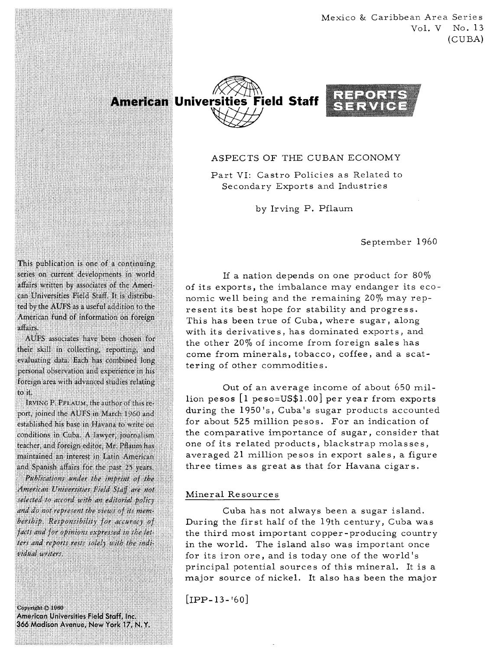Mexico & Caribbean Area Series Vol. V No. 13 (CUBA)



# ASPECTS OF THE CUBAN ECONOMY

Part VI: Castro Policies as Related to Secondary Exports and Industries

by Irving P. Pflaum

September 1960

This publication is one of a continuing series on current developments in world affairs written by associates of the American Universities Field Staff. It is distributed by the AUFS as a useful addition to the American fund of information on foreign affairs

AUFS associates have been chosen for their skill in collecting, reporting, and evaluating data. Each has combined long personal observation and experience in his foreign area with advanced studies relating to it.

IRVING P. PFLAUM, the author of this report, joined the AUFS in March 1960 and established his base in Havana to write on conditions in Cuba. A lawyer, journalism teacher, and foreign editor, Mr. Pflaum has maintained an interest in Latin American and Spanish affairs for the past 25 years.

Publications under the imprint of the American Universities Field Staff are not selected to accord with an editorial policy and do not represent the views of its membership. Responsibility for accuracy of facts and for opinions expressed in the letters and reports rests solely with the individual writers.

Copyright © 1960 American Universities Field Staff, Inc. 366 Madison Avenue, New York 17, N.Y.

If a nation depends on one product for 80% of its exports, the imbalance may endanger its economic well being and the remaining 20% may represent its best hope for stability and progress. This has been true of Cuba, where sugar, along with its derivative s, has dominated exports, and the other  $20\%$  of income from foreign sales has come from minerals, tobacco, coffee, and a scattering of other commodities.

Out of an average income of about 650 million pesos  $[1 \text{ peso} = US$1.00]$  per year from exports during the  $1950's$ , Cuba's sugar products accounted for about 525 million pesos. For an indication of the comparative importance of sugar, consider that one of its related products, blackstrap molasses, averaged 21 million pesos in export sales, a figure three times as great as that for Havana cigars.

### Mineral Resources

Cuba has not always been a sugar island. During the first half of the 19th century, Cuba was the third most important copper -producing country in the world. The island also was important once for its iron ore, and is today one of the world's principal potential sources of this mineral. It is a major source of nickel. It also has been the major

 $[IPP-13-160]$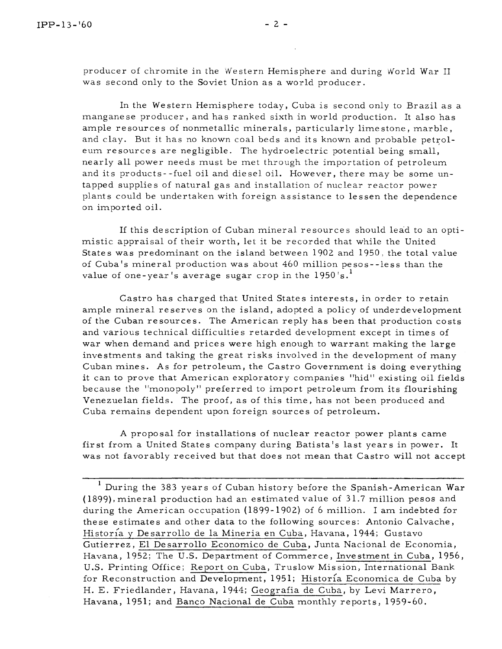In the Western Hemisphere today, Cuba is second only to Brazil as a manganese producer, and has ranked sixth in world production. It also has ample resources of nonmetallic minerals, particularly limestone, marble, and clay. But it has no known coal beds and its known and probable petroleum re sources are negligible. The hydroelectric potential being small, nearly all power needs must be met through the importation of petroleum and its products- -fuel oil and diesel oil. However, there may be some untapped supplies of natural gas and installation of nuclear reactor power plants could be undertaken with foreign assistance to lessen the dependence on imported oil.

If this description of Cuban mineral resources should lead to an optimistic appraisal of their worth, let it be recorded that while the United States was predominant on the island between 1902 and 1950, the total value of Cuba's mineral production was about 460 million pesos- -less than the value of one-year's average sugar crop in the 1950's. **<sup>1</sup>**

Castro has charged that United States interests, in order to retain ample mineral reserves on the island, adopted a policy of underdevelopment of the Cuban resources. The American reply has been that production costs and various technical difficulties retarded development except in times of war when demand and prices were high enough to warrant making the large investments and taking the great risks involved in the development of many Cuban mines. As for petroleum, the Castro Government is doing everything it can to prove that American exploratory companies "hid" existing oil fields because the "monopoly" preferred to import petroleum from its flourishing Venezuelan fields. The proof, as of this time, has not been produced and Cuba remains dependent upon foreign sources of petroleum.

A proposal for installations of nuclear reactor power plants came first from a United States company during Batista's last years in power. It was not favorably received but that does not mean that Castro will not accept

<sup>- - -</sup>   $^{\rm l}$  During the 383 years of Cuban history before the Spanish-American War (1899), mineral production had an estimated value of 31.7 million pesos and during the American occupation (1899-1902) of 6 million. I am indebted for these estimates and other data to the following sources: Antonio Calvache, Historía y Desarrollo de la Mineria en Cuba, Havana, 1944; Gustavo Gutierrez, El Desarrollo Economico de Cuba, Junta Nacional de Economia, Havana, 1952; The U.S. Department of Commerce, Investment in Cuba, 1956, U.S. Printing Office; Report on Cuba, Truslow Mission, International Bank for Reconstruction and Development, 1951; Historía Economica de Cuba by H. E. Friedlander, Havana, 1944; Geografia de Cuba, by Levi Marrero, Havana, 1951; and Banco Nacional de Cuba monthly reports, 1959-60.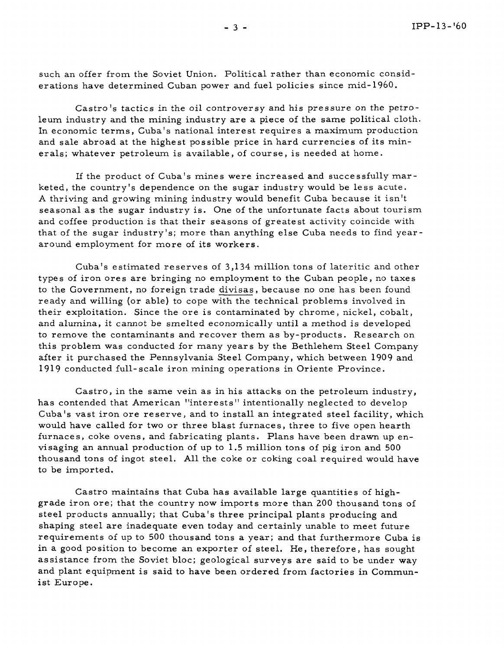such an offer from the Soviet Union. Political rather than economic considerations have determined Cuban power and fuel policies since mid- 1960.

Castro's tactics in the oil controversy and his pressure on the petroleum industry and the mining industry are a piece of the same political cloth. In economic terms, Cuba's national interest requires a maximum production and sale abroad at the highest possible price in hard currencies of its minerals; whatever petroleum is available, of course, is needed at home.

If the product of Cuba's mines were increased and successfully marketed, the country's dependence on the sugar industry would be less acute. **A** thriving and growing mining industry would benefit Cuba because it isn't seasonal as the sugar industry is. One of the unfortunate facts about tourism and coffee production is that their seasons of greatest activity coincide with that of the sugar industry's; more than anything else Cuba needs to find year around employment for more of its workers.

Cuba's estimated reserves of 3,134 million tons of lateritic and other types of iron ores are bringing no employment to the Cuban people, no taxes to the Government, no foreign trade divisas, because no one has been found ready and willing (or able) to cope with the technical problems involved in their exploitation. Since the ore is contaminated by chrome, nickel, cobalt, and alumina, it cannot be smelted economically until a method is developed to remove the contaminants and recover them as by-products. Research on this problem was conducted for many years by the Bethlehem Steel Company after it purchased the Pennsylvania Steel Company, which between 1909 and 1919 conducted full-scale iron mining operations in Oriente Province.

Castro, in the same vein as in his attacks on the petroleum industry, has contended that American "interests" intentionally neglected to develop Cuba's vast iron ore reserve, and to install an integrated steel facility, which would have called for two or three blast furnaces, three to five open hearth furnaces, coke ovens, and fabricating plants. Plans have been drawn up envisaging an annual production of up to 1.5 million tons of pig iron and 500 thousand tons of ingot steel. All the coke or coking coal required would have to be imported.

Castro maintains that Cuba has available large quantities of highgrade iron ore; that the country now imports more than 200 thousand tons of steel products annually; that Cuba's three principal plants producing and shaping steel are inadequate even today and certainly unable to meet future requirements of up to 500 thousand tons a year; and that furthermore Cuba is in a good position to become an exporter of steel. He, therefore, has sought assistance from the Soviet bloc; geological surveys are said to be under way and plant equipment is said to have been ordered from factories in Communist Europe.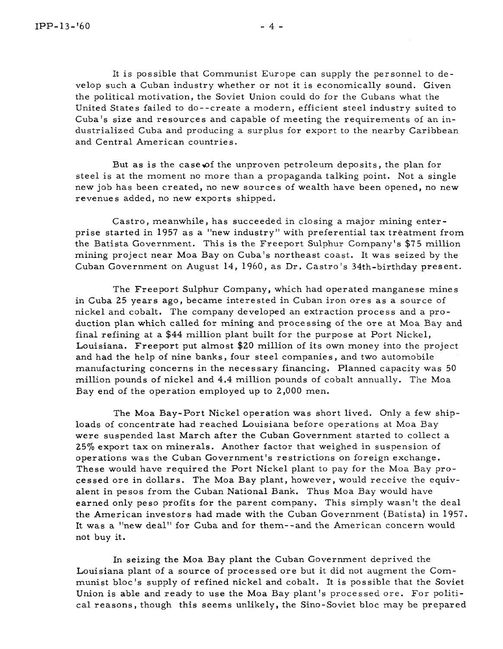It is possible that Communist Europe can supply the personnel to develop such a Cuban industry whether or not it is economically sound. Given the political motivation, the Soviet Union could do for the Cubans what the United States failed to do--create a modern, efficient steel industry suited to Cuba's size and resources and capable of meeting the requirements of an industrialized Cuba and producing a surplus for export to the nearby Caribbean and Central American countries.

But as is the case of the unproven petroleum deposits, the plan for steel is at the moment no more than a propaganda talking point. Not a single new job has been created, no new sources of wealth have been opened, no new revenues added, no new exports shipped.

Castro, meanwhile, has succeeded in closing a major mining enterprise started in 1957 as a "new industry" with preferential tax treatment from the Batista Government. This is the Freeport Sulphur Company's \$75 million mining project near Moa Bay on Cuba's northeast coast. It was seized by the Cuban Government on August 14, 1960, as Dr. Castro 's 34th-birthday present.

The Freeport Sulphur Company, which had operated manganese mines in Cuba 25 years ago, became interested in Cuban iron ores as a source of nickel and cobalt. The company developed an extraction process and a production plan which called for mining and processing of the ore at Moa Bay and final refining at a \$44 million plant built for the purpose at Port Nickel, Louisiana. Freeport put almost \$20 million of its own money into the project and had the help of nine banks, four steel companies , and two automobile manufacturing concerns in the necessary financing. Planned capacity was 50 million pounds of nickel and 4.4 million pounds of cobalt annually. The Moa Bay end of the operation employed up to 2,000 men.

The Moa Bay-Port Nickel operation was short lived. Only a few shiploads of concentrate had reached Louisiana before operations at Moa Bay were suspended last March after the Cuban Government started to collect a 25% export tax on minerals. Another factor that weighed in suspension of operations was the Cuban Government's restrictions on foreign exchange. These would have required the Port Nickel plant to pay for the Moa Bay processed ore in dollars. The Moa Bay plant, however, would receive the equivalent in pesos from the Cuban National Bank. Thus Moa Bay would have earned only peso profits for the parent company. This simply wasn't the deal the American investors had made with the Cuban Government (Batista) in 1957. It was a "new deal" for Cuba and for them--and the American concern would not buy it.

In seizing the Moa Bay plant the Cuban Government deprived the Louisiana plant of a source of processed ore but it did not augment the Communist bloc's supply of refined nickel and cobalt. It is possible that the Soviet Union is able and ready to use the Moa Bay plant's processed ore. For political reasons, though this seems unlikely, the Sino-Soviet bloc may be prepared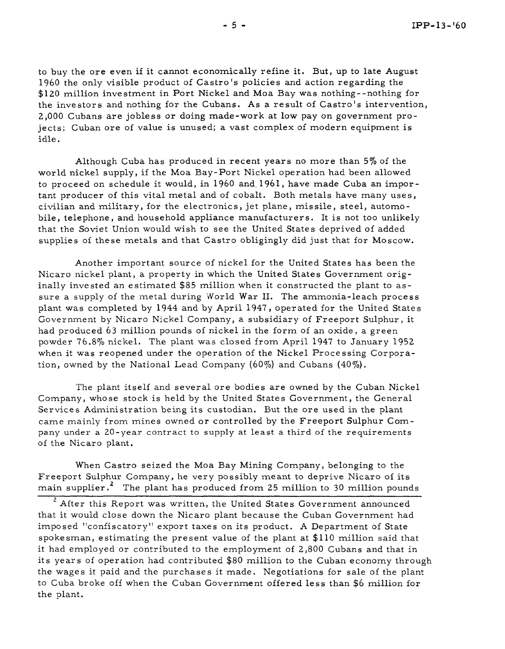to buy the ore even if it cannot economically refine it. But, up to late August 1960 the only visible product of Castro 's policies and action regarding the \$120 million investment in Port Nickel and Moa Bay was nothing--nothing for the investors and nothing for the Cubans. As a result of Castro's intervention, 2,000 Cubans are jobless or doing made-work at low pay on government projects; Cuban ore of value is unused; a vast complex of modern equipment is idle.

Although Cuba has produced in recent years no more than 5% of the world nickel supply, if the Moa Bay-Port Nickel operation had been allowed to proceed on schedule it would, in 1960 and. 1961, have made Cuba an impor tant producer of this vital metal and of cobalt. Both metals have many uses, civilian and military, for the electronics, jet plane, missile , steel, automobile, telephone, and household appliance manufacturers. It is not too unlikely that the Soviet Union would wish to see the United States deprived of added supplies of these metals and that Castro obligingly did just that for Moscow.

Another important source of nickel for the United States has been the Nicaro nickel plant, a property in which the United States Government originally invested an estimated \$85 million when it constructed the plant to assure a supply of the metal during 'World War 11. The ammonia-leach process plant was completed by 1944 and by April 1947, operated for the United States Government by Nicaro Nickel Company, a subsidiary of Freeport Sulphur, it had produced 63 million pounds of nickel in the form of an oxide, a green powder 76.870 nickel. The plant was closed from April 1947 to January 1952 when it was reopened under the operation of the Nickel Processing Corporation, owned by the National Lead Company (60%) and Cubans (40%).

The plant itself and several ore bodies are owned by the Cuban Nickel Company, whose stock is held by the United States Government, the General Services Administration being its custodian. But the ore used in the plant came mainly from mines owned or controlled by the Freeport Sulphur Company under a 20-year contract to supply at least a third of the requirements of the Nicaro plant.

Freeport Sulphur Company, he very possibly meant to deprive Nicaro of its main supplier.<sup>2</sup> The plant has produced from 25 million to 30 million pounds When Castro seized the Moa Bay Mining Company, belonging to the

<sup>2</sup> After this Report was written, the United States Government announced that it would close down the Nicaro plant because the Cuban Government had imposed "confiscatory" export taxes on its product. **A** Department of State spokesman, estimating the present value of the plant at \$110 million said that it had employed or contributed to the employment of 2,800 Cubans and that in its years of operation had contributed \$80 million to the Cuban economy through the wages it paid and the purchases it made. Negotiations for sale of the plant to Cuba broke off when the Cuban Government offered less than \$6 million for the plant.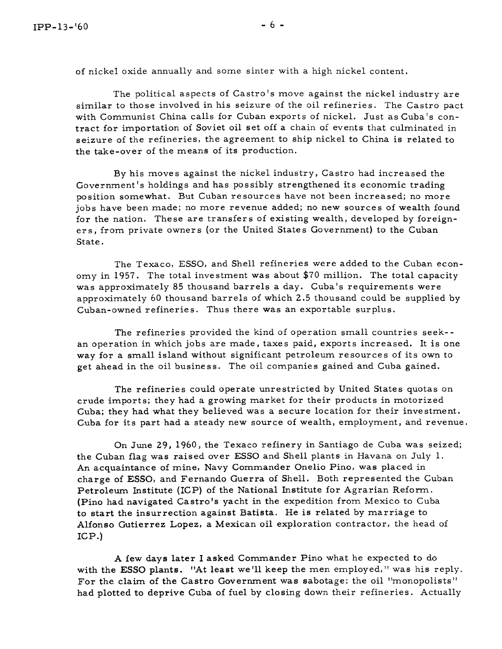of nickel oxide annually and some sinter with a high nickel content.

The political aspects of Castro's move against the nickel industry are similar to those involved in his seizure of the oil refineries. The Castro pact with Communist China calls for Cuban exports of nickel. Just as Cuba's contract for importation of Soviet oil set off a chain of events that culminated in seizure of the refineries, the agreement to ship nickel to China is related to the take-over of the means of its production.

By his moves against the nickel industry, Castro had increased the Government's holdings and has possibly strengthened its economic trading position somewhat. But Cuban resources have not been increased; no more jobs have been made; no more revenue added; no new sources of wealth found for the nation. These are transfers of existing wealth, developed by foreigners, from private owners (or the United States Government) to the Cuban State.

The Texaco, ESSO, and Shell refineries were added to the Cuban economy in 1957. The total investment was about \$70 million. The total capacity was approximately 85 thousand barrels a day. Cuba's requirements were approximately 60 thousand barrels of which 2.5 thousand could be supplied by Cuban-owned refineries. Thus there was an exportable surplus.

The refineries provided the kind of operation small countries seek- an operation in which jobs are made, taxes paid, exports increased. It is one way for a small island without significant petroleum resources of its own to get ahead in the oil business. The oil companies gained and Cuba gained.

The refineries could operate unrestricted by United States quotas on crude imports; they had a growing market for their products in motorized Cuba; they had what they believed was a secure location for their investment. Cuba for its part had a steady new source of wealth, employment, and revenue.

On June 29, 1960, the Texaco refinery in Santiago de Cuba was seized; the Cuban flag was raised over ESSO and Shell plants in Havana on July 1. An acquaintance of mine, Navy Commander Onelio Pino, was placed in charge of ESSO, and Fernando Guerra of Shell. Both represented the Cuban Petroleum Institute (ICP) of the National Institute for Agrarian Reform. (Pino had navigated Castro's yacht in the expedition from Mexico to Cuba to start the insurrection against Batista. He is related by marriage to Alfonso Gutierrez Lopez, a Mexican oil exploration contractor, the head of  $ICP.$ 

**A** few days later I asked Commander Pino what he expected to do with the ESSO plants. "At least we'll keep the men employed," was his reply. For the claim of the Castro Government was sabotage: the oil "monopolists" had plotted to deprive Cuba of fuel by closing down their refineries. Actually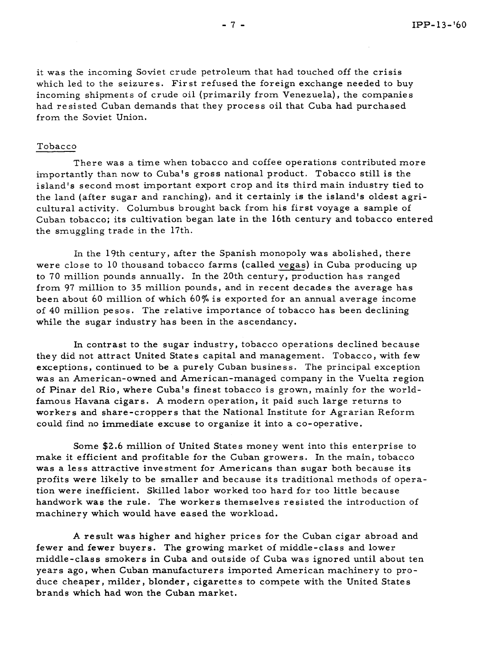it was the incoming Soviet crude petroleum that had touched off the crisis which led to the seizures. First refused the foreign exchange needed to buy incoming shipments of crude oil (primarily from Venezuela), the companies had resisted Cuban demands that they process oil that Cuba had purchased from the Soviet Union.

#### Tobacco

There was a time when tobacco and coffee operations contributed more importantly than now to Cuba's gross national product. Tobacco still is the island's second most important export crop and its third main industry tied to the land (after sugar and ranching), and it certainly is the island's oldest agricultural activity. Columbus brought back from his first voyage a sample of Cuban tobacco; its cultivation began late in the 16th century and tobacco entered the smuggling trade in the 17th.

In the 19th century, after the Spanish monopoly was abolished, there were close to 10 thousand tobacco farms (called vegas) in Cuba producing up to 70 million pounds annually. In the 20th century, production has ranged from 97 million to 35 million pounds, and in recent decades the average has been about 60 million of which 60% is exported for an annual average income of 40 million pesos. The relative importance of tobacco has been declining while the sugar industry has been in the ascendancy.

In contrast to the sugar industry, tobacco operations declined because they did not attract United States capital and management. Tobacco, with few exceptions, continued to be a purely Cuban business. The principal exception was an American-owned and American-managed company in the Vuelta region of Pinar del Rio, where Cuba's finest tobacco is grown, mainly for the worldfamous Havana cigar s. A modern operation, it paid such large returns to workers and share-croppers that the National Institute for Agrarian Reform could find no immediate excuse to organize it into a co-operative.

Some \$2.6 million of United States money went into this enterprise to make it efficient and profitable for the Cuban growers. In the main, tobacco was a less attractive investment for Americans than sugar both because its profits were likely to be smaller and because its traditional methods of operation were inefficient. Skilled labor worked too hard for too little because handwork was the rule. The workers themselves resisted the introduction of machinery which would have eased the workload.

A result was higher and higher prices for the Cuban cigar abroad and fewer and fewer buyers. The growing market of middle-class and lower middle -class smokers in Cuba and outside of Cuba was ignored until about ten years ago, when Cuban manufacturers imported American machinery to produce cheaper, milder, blonder, cigarettes to compete with the United States brands which had won the Cuban market.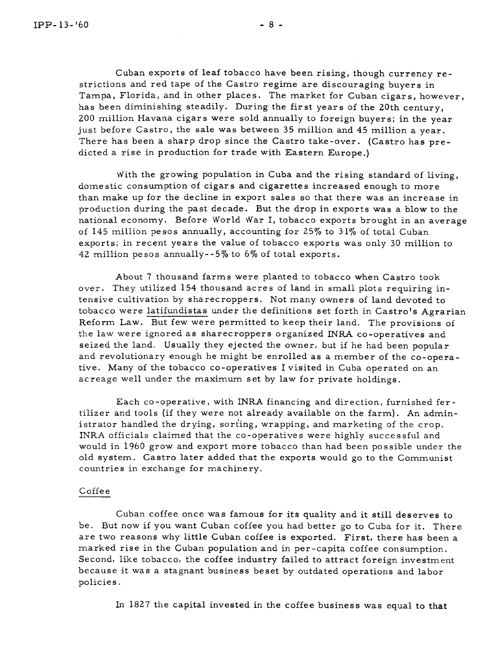Cuban exports of leaf tobacco have been rising, though currency restrictions and red tape of the Castro regime are discouraging buyers in Tampa, Florida, and in other places. The market for Cuban cigars, however, has been diminishing steadily. During the fir st years of the 20th century, 200 million Havana cigars were sold annually to foreign buyers; in the year just before Castro, the sale was between 35 million and 45 million a year. There has been a sharp drop since the Castro take-over. (Castro has predicted a rise in production for trade with Eastern Europe.)

With the growing population in Cuba and the rising standard of living, domestic consumption of cigars and cigarettes increased enough to more than make up for the decline in export sales so that there was an increase in production during the past decade. But the drop in exports was a blow to the national economy. Before World War I, tobacco exports brought in an average of 145 million pesos annually, accounting for 25% to 31% of total Cuban exports; in recent years the value of tobacco exports was only 30 million to 42 million pesos annually--5% to 6% of total exports.

About 7 thousand farms were planted to tobacco when Castro took over. They utilized 154 thousand acres of land in small plots requiring intensive cultivation by sharecroppers. Not many owners of land devoted to tobacco were latifundistas under the definitions set forth in Castro's Agrarian Reform Law. But few were permitted to keep their land. The provisions of the law were ignored as sharecroppers organized INRA co-operatives and seized the land. Usually they ejected the owner, but if he had been popular and revolutionary enough he might be enrolled as a member of the co-operative. Many of the tobacco co-operatives I visited in Cuba operated on an acreage well under the maximum set by law for private holdings.

Each co-operative, with INRA financing and direction, furnished fer tilizer and tools (if they were not already available on the farm). An administrator handled the drying, sorting, wrapping, and marketing of the crop. INRA officials claimed that the co-operatives were highly successful and would in 1960 grow and export more tobacco than had been possible under the old system. Castro later added that the exports would go to the Communist countries in exchange for machinery.

### Coffee

Cuban coffee once was famous for its quality and it still deserves to be. But now if you want Cuban coffee you had better go to Cuba for it. There are two reasons why little Cuban coffee is exported. First, there has been a marked rise in the Cuban population and in per -capita coffee consumption. Second, like tobacco, the coffee industry failed to attract foreign investment because it was a stagnant business beset by outdated operations and labor policies.

In 1827 the capital invested in the coffee business was equal to that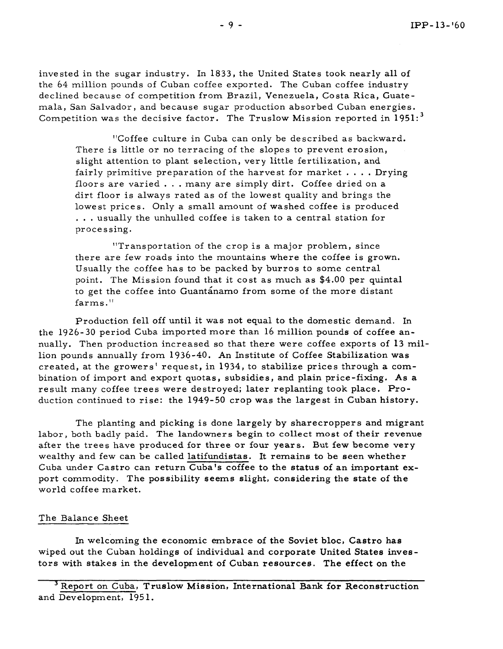invested in the sugar industry. In 1833, the United States took nearly all of the 64 million pounds of Cuban coffee exported. The Cuban coffee industry declined because of competition from Brazil, Venezuela, Costa Rica, Guatemala, San Salvador, and because sugar production absorbed Cuban energies. Competition was the decisive factor. The Truslow Mission reported in  $1951:^{3}$ 

"Coffee culture in Cuba can only be described as backward. There is little or no terracing of the slopes to prevent erosion, slight attention to plant selection, very little fertilization, and fairly primitive preparation of the harvest for market  $\dots$ . Drying floors are varied . . . many are simply dirt. Coffee dried on a dirt floor is always rated as of the lowest quality and brings the lowest prices. Only a small amount of washed coffee is produced . . . usually the unhulled coffee is taken to a central station for processing.

"Transportation of the crop is a major problem, since there are few roads into the mountains where the coffee is grown. Usually the coffee has to be packed by burros to some central point. The Mission found that it cost as much as \$4.00 per quintal to get the coffee into Guantánamo from some of the more distant farms."

Production fell off until it was not equal to the domestic demand. In the 1926-30 period Cuba imported more than 16 million pounds of coffee annually. Then production increased so that there were coffee exports of 13 million pounds annually from 1936-40. An Institute of Coffee Stabilization was created, at the growers' request, in 1934, to stabilize prices through a combination of import and export quotas, subsidies, and plain price-fixing. As a result many coffee trees were destroyed; later replanting took place. Production continued to rise: the 1949-50 crop was the largest in Cuban history.

The planting and picking is done largely by sharecroppers and migrant labor, both badly paid. The landowners begin to collect most of their revenue after the trees have produced for three or four years. But few become very wealthy and few can be called latifundistas. It remains to be seen whether Cuba under Castro can return Cuba's coffee to the status of an important export commodity. The possibility seems slight, considering the state of the world coffee market.

# The Balance Sheet

In welcoming the economic embrace of the Soviet bloc, Castro has wiped out the Cuban holdings of individual and corporate United States investors with stakes in the development of Cuban resources. The effect on the

Report on Cuba, Truslow Mission, International **Bank** for Reconstruction and Development, 1951.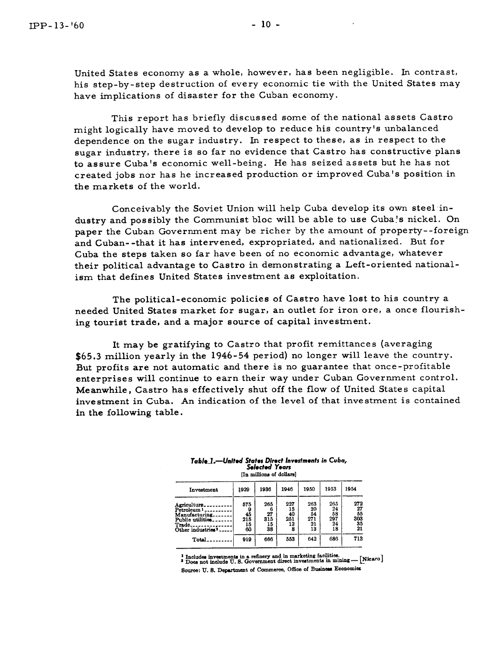United States economy as a whole, however, has been negligible. In contrast, his step-by-step destruction of every economic tie with the United States may have implications of disaster for the Cuban economy.

This report has briefly discussed some of the national assets Castro might logically have moved to develop to reduce his country's unbalanced dependence on the sugar industry. In respect to these, as in respect to the sugar industry, there is so far no evidence that Castro has constructive plans to assure Cuba's economic well-being. He has seized assets but he has not created jobs nor has he increased production or improved Cuba's position in the markets of the world.

Conceivably the Soviet Union will help Cuba develop its own steel industry and possibly the Communist bloc will be able to use Cuba's nickel. On paper the Cuban Government may be richer by the amount of property--foreign and Cuban- -that it has intervened, expropriated, and nationalized. But for Cuba the steps taken so far have been of no economic advantage, whatever their political advantage to Castro in demonstrating a Left-oriented national ism that defines United States investment as exploitation.

The political-economic policies of Castro have lost to his country a needed United States market for sugar, an outlet for iron ore, a once flourishing tourist trade, and a major source of capital investment.

It may be gratifying to Castro that profit remittances (averaging **\$65.3** million yearly in the **1946-54** period) no longer will leave the country. But profits are not automatic and there is no guarantee that once-profitable enterprises will continue to earn their way under Cuban Government control. Meanwhile, Castro has effectively shut off the flow of United States capital investment in Cuba. An indication of the level of that investment is contained in the following table.

| Table 1.—United States Direct Investments in Cuba,<br><b>Selected Years</b><br>[In millions of dollars] |          |          |          |          |           |           |
|---------------------------------------------------------------------------------------------------------|----------|----------|----------|----------|-----------|-----------|
| Investment                                                                                              | 1929     | 1936     | 1946     | 1950     | 1953      | 1954      |
| Agriculture.                                                                                            | 575      | 265      | 227      | 263      | 265<br>24 | 272<br>27 |
| Petroleum 1 _ _ _ _ _<br>Manufacturing.                                                                 | 9<br>45  | 6<br>27  | 15<br>40 | 20<br>54 | 58        | 55        |
| Public utilities.                                                                                       | 215      | 315      | 251      | 271      | 297       | 303       |
| Trade.<br>Other industries <sup>2</sup>                                                                 | 15<br>60 | 15<br>38 | 12<br>8  | 21<br>13 | 24<br>18  | 35<br>21  |
| Total                                                                                                   | 919      | 666      | 553      | 642      | 686       | 713       |

Table\_1.—United States Direct Investments in Cuba,<br>Selected Years **[In millions of dollars]** 

**Includes inveatmenb in a reberg and in qketing facilities: Doea not include U. 8. Government bt lnveatments ur mming- [ycwol** 

80wca: **U. 8. Depsrtment of Commerce, Office of Buoineu Eoonomios**